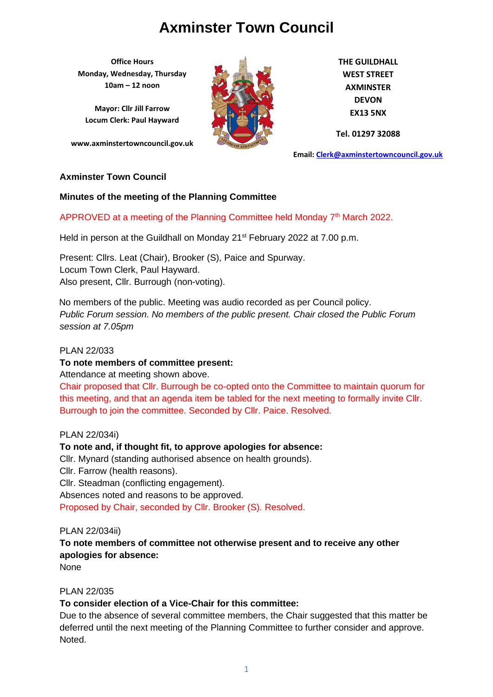**Office Hours Monday, Wednesday, Thursday 10am – 12 noon**

**Mayor: Cllr Jill Farrow Locum Clerk: Paul Hayward**

**www.axminstertowncouncil.gov.uk**



**THE GUILDHALL WEST STREET AXMINSTER DEVON EX13 5NX**

**Tel. 01297 32088**

**Email: [Clerk@axminstertowncouncil.gov.uk](file://///axm-svr-1/company/Templates/Clerk@axminstertowncouncil.gov.uk)**

#### **Axminster Town Council**

#### **Minutes of the meeting of the Planning Committee**

## APPROVED at a meeting of the Planning Committee held Monday 7<sup>th</sup> March 2022.

**TEL: 01297 32088** Held in person at the Guildhall on Monday 21<sup>st</sup> February 2022 at 7.00 p.m.

Present: Cllrs. Leat (Chair), Brooker (S), Paice and Spurway. Locum Town Clerk, Paul Hayward. Also present, Cllr. Burrough (non-voting).

No members of the public. Meeting was audio recorded as per Council policy. *Public Forum session. No members of the public present. Chair closed the Public Forum session at 7.05pm*

#### PLAN 22/033

#### **To note members of committee present:**

Attendance at meeting shown above.

Chair proposed that Cllr. Burrough be co-opted onto the Committee to maintain quorum for this meeting, and that an agenda item be tabled for the next meeting to formally invite Cllr. Burrough to join the committee. Seconded by Cllr. Paice. Resolved.

## PLAN 22/034i)

## **To note and, if thought fit, to approve apologies for absence:**

Cllr. Mynard (standing authorised absence on health grounds). Cllr. Farrow (health reasons). Cllr. Steadman (conflicting engagement). Absences noted and reasons to be approved. Proposed by Chair, seconded by Cllr. Brooker (S). Resolved.

## PLAN 22/034ii)

## **To note members of committee not otherwise present and to receive any other apologies for absence:**

None

## PLAN 22/035

## **To consider election of a Vice-Chair for this committee:**

Due to the absence of several committee members, the Chair suggested that this matter be deferred until the next meeting of the Planning Committee to further consider and approve. Noted.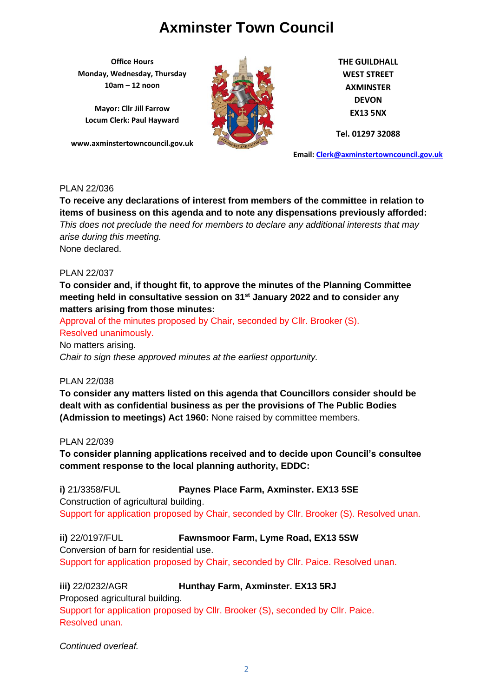**Office Hours Monday, Wednesday, Thursday 10am – 12 noon**

**Mayor: Cllr Jill Farrow Locum Clerk: Paul Hayward**

**www.axminstertowncouncil.gov.uk**



**THE GUILDHALL WEST STREET AXMINSTER DEVON EX13 5NX**

**Tel. 01297 32088**

**Email: [Clerk@axminstertowncouncil.gov.uk](file://///axm-svr-1/company/Templates/Clerk@axminstertowncouncil.gov.uk)**

## PLAN 22/036

This does not preclude the need for members to declare any additional interests that may **To receive any declarations of interest from members of the committee in relation to items of business on this agenda and to note any dispensations previously afforded:**  *arise during this meeting.* None declared.

#### PLAN 22/037

**To consider and, if thought fit, to approve the minutes of the Planning Committee meeting held in consultative session on 31st January 2022 and to consider any matters arising from those minutes:**

Approval of the minutes proposed by Chair, seconded by Cllr. Brooker (S). Resolved unanimously. No matters arising.

*Chair to sign these approved minutes at the earliest opportunity.*

PLAN 22/038

**To consider any matters listed on this agenda that Councillors consider should be dealt with as confidential business as per the provisions of The Public Bodies (Admission to meetings) Act 1960:** None raised by committee members.

PLAN 22/039

**To consider planning applications received and to decide upon Council's consultee comment response to the local planning authority, EDDC:**

**i)** 21/3358/FUL **Paynes Place Farm, Axminster. EX13 5SE** Construction of agricultural building. Support for application proposed by Chair, seconded by Cllr. Brooker (S). Resolved unan.

**ii)** 22/0197/FUL **Fawnsmoor Farm, Lyme Road, EX13 5SW**

Conversion of barn for residential use. Support for application proposed by Chair, seconded by Cllr. Paice. Resolved unan.

**iii)** 22/0232/AGR **Hunthay Farm, Axminster. EX13 5RJ** Proposed agricultural building. Support for application proposed by Cllr. Brooker (S), seconded by Cllr. Paice. Resolved unan.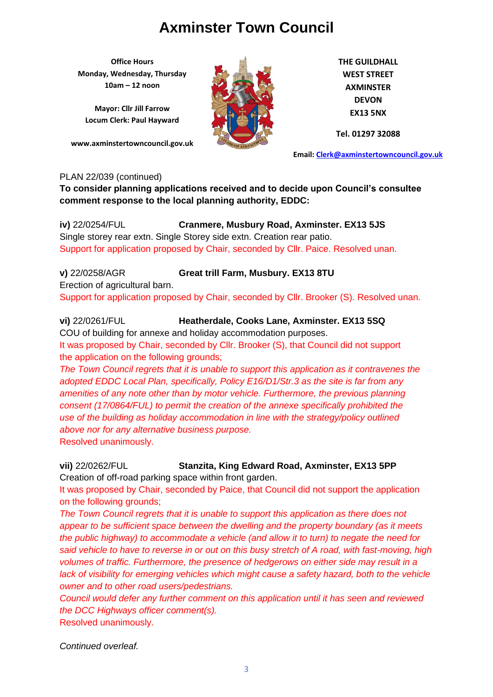**Office Hours Monday, Wednesday, Thursday 10am – 12 noon**

**Mayor: Cllr Jill Farrow Locum Clerk: Paul Hayward**

**www.axminstertowncouncil.gov.uk**



**THE GUILDHALL WEST STREET AXMINSTER DEVON EX13 5NX**

**Tel. 01297 32088**

**Email: [Clerk@axminstertowncouncil.gov.uk](file://///axm-svr-1/company/Templates/Clerk@axminstertowncouncil.gov.uk)**

#### PLAN 22/039 (continued)

**To consider planning applications received and to decide upon Council's consultee comment response to the local planning authority, EDDC:**

**TEL: 01297 32088 iv)** 22/0254/FUL **Cranmere, Musbury Road, Axminster. EX13 5JS** Single storey rear extn. Single Storey side extn. Creation rear patio. Support for application proposed by Chair, seconded by Cllr. Paice. Resolved unan.

## **v)** 22/0258/AGR **Great trill Farm, Musbury. EX13 8TU** Erection of agricultural barn. Support for application proposed by Chair, seconded by Cllr. Brooker (S). Resolved unan.

**vi)** 22/0261/FUL **Heatherdale, Cooks Lane, Axminster. EX13 5SQ** COU of building for annexe and holiday accommodation purposes. It was proposed by Chair, seconded by Cllr. Brooker (S), that Council did not support the application on the following grounds;

*The Town Council regrets that it is unable to support this application as it contravenes the adopted EDDC Local Plan, specifically, Policy E16/D1/Str.3 as the site is far from any amenities of any note other than by motor vehicle. Furthermore, the previous planning consent (17/0864/FUL) to permit the creation of the annexe specifically prohibited the use of the building as holiday accommodation in line with the strategy/policy outlined above nor for any alternative business purpose.* Resolved unanimously.

**vii)** 22/0262/FUL **Stanzita, King Edward Road, Axminster, EX13 5PP** Creation of off-road parking space within front garden.

It was proposed by Chair, seconded by Paice, that Council did not support the application on the following grounds;

*The Town Council regrets that it is unable to support this application as there does not appear to be sufficient space between the dwelling and the property boundary (as it meets the public highway) to accommodate a vehicle (and allow it to turn) to negate the need for said vehicle to have to reverse in or out on this busy stretch of A road, with fast-moving, high volumes of traffic. Furthermore, the presence of hedgerows on either side may result in a*  lack of visibility for emerging vehicles which might cause a safety hazard, both to the vehicle *owner and to other road users/pedestrians.*

*Council would defer any further comment on this application until it has seen and reviewed the DCC Highways officer comment(s).* Resolved unanimously.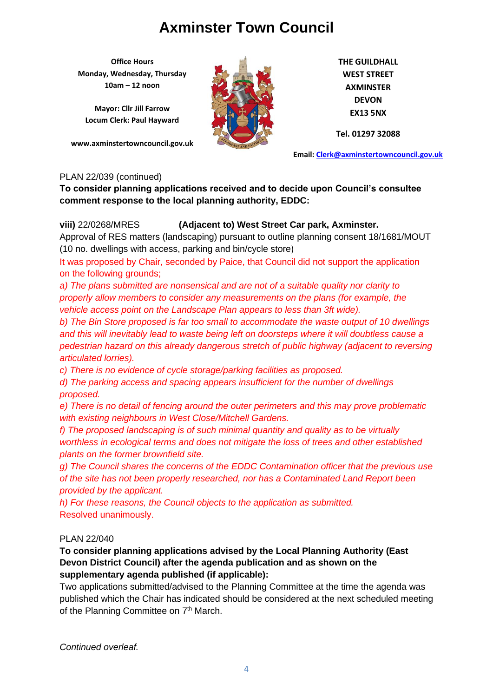**Office Hours Monday, Wednesday, Thursday 10am – 12 noon**

**Mayor: Cllr Jill Farrow Locum Clerk: Paul Hayward**

**www.axminstertowncouncil.gov.uk**



**THE GUILDHALL WEST STREET AXMINSTER DEVON EX13 5NX**

**Tel. 01297 32088**

**Email: [Clerk@axminstertowncouncil.gov.uk](file://///axm-svr-1/company/Templates/Clerk@axminstertowncouncil.gov.uk)**

#### PLAN 22/039 (continued)

**To consider planning applications received and to decide upon Council's consultee comment response to the local planning authority, EDDC:**

## **viii)** 22/0268/MRES **(Adjacent to) West Street Car park, Axminster.**

**TALIBUSE**: Approval of RES matters (landscaping) pursuant to outline planning consent 18/1681/MOUT (10 no. dwellings with access, parking and bin/cycle store)

It was proposed by Chair, seconded by Paice, that Council did not support the application on the following grounds;

*a) The plans submitted are nonsensical and are not of a suitable quality nor clarity to properly allow members to consider any measurements on the plans (for example, the vehicle access point on the Landscape Plan appears to less than 3ft wide).*

*b) The Bin Store proposed is far too small to accommodate the waste output of 10 dwellings and this will inevitably lead to waste being left on doorsteps where it will doubtless cause a pedestrian hazard on this already dangerous stretch of public highway (adjacent to reversing articulated lorries).*

*c) There is no evidence of cycle storage/parking facilities as proposed.*

*d) The parking access and spacing appears insufficient for the number of dwellings proposed.*

*e) There is no detail of fencing around the outer perimeters and this may prove problematic with existing neighbours in West Close/Mitchell Gardens.*

*f) The proposed landscaping is of such minimal quantity and quality as to be virtually worthless in ecological terms and does not mitigate the loss of trees and other established plants on the former brownfield site.*

*g) The Council shares the concerns of the EDDC Contamination officer that the previous use of the site has not been properly researched, nor has a Contaminated Land Report been provided by the applicant.*

*h) For these reasons, the Council objects to the application as submitted.* Resolved unanimously.

## PLAN 22/040

## **To consider planning applications advised by the Local Planning Authority (East Devon District Council) after the agenda publication and as shown on the supplementary agenda published (if applicable):**

Two applications submitted/advised to the Planning Committee at the time the agenda was published which the Chair has indicated should be considered at the next scheduled meeting of the Planning Committee on 7<sup>th</sup> March.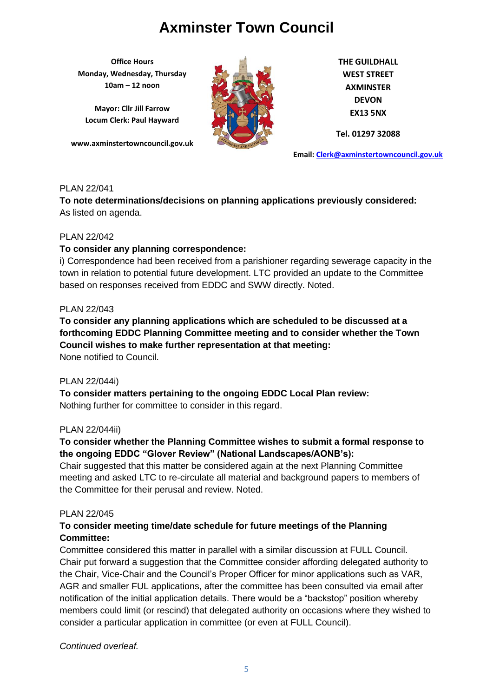**Office Hours Monday, Wednesday, Thursday 10am – 12 noon**

**Mayor: Cllr Jill Farrow Locum Clerk: Paul Hayward**

**www.axminstertowncouncil.gov.uk**



**THE GUILDHALL WEST STREET AXMINSTER DEVON EX13 5NX**

**Tel. 01297 32088**

**Email: [Clerk@axminstertowncouncil.gov.uk](file://///axm-svr-1/company/Templates/Clerk@axminstertowncouncil.gov.uk)**

## PLAN 22/041

**To note determinations/decisions on planning applications previously considered:** As listed on agenda.

## PLAN 22/042

## **To consider any planning correspondence:**

i) Correspondence had been received from a parishioner regarding sewerage capacity in the town in relation to potential future development. LTC provided an update to the Committee based on responses received from EDDC and SWW directly. Noted.

#### PLAN 22/043

**To consider any planning applications which are scheduled to be discussed at a forthcoming EDDC Planning Committee meeting and to consider whether the Town Council wishes to make further representation at that meeting:** None notified to Council.

## PLAN 22/044i)

**To consider matters pertaining to the ongoing EDDC Local Plan review:** Nothing further for committee to consider in this regard.

## PLAN 22/044ii)

## **To consider whether the Planning Committee wishes to submit a formal response to the ongoing EDDC "Glover Review" (National Landscapes/AONB's):**

Chair suggested that this matter be considered again at the next Planning Committee meeting and asked LTC to re-circulate all material and background papers to members of the Committee for their perusal and review. Noted.

## PLAN 22/045

## **To consider meeting time/date schedule for future meetings of the Planning Committee:**

Committee considered this matter in parallel with a similar discussion at FULL Council. Chair put forward a suggestion that the Committee consider affording delegated authority to the Chair, Vice-Chair and the Council's Proper Officer for minor applications such as VAR, AGR and smaller FUL applications, after the committee has been consulted via email after notification of the initial application details. There would be a "backstop" position whereby members could limit (or rescind) that delegated authority on occasions where they wished to consider a particular application in committee (or even at FULL Council).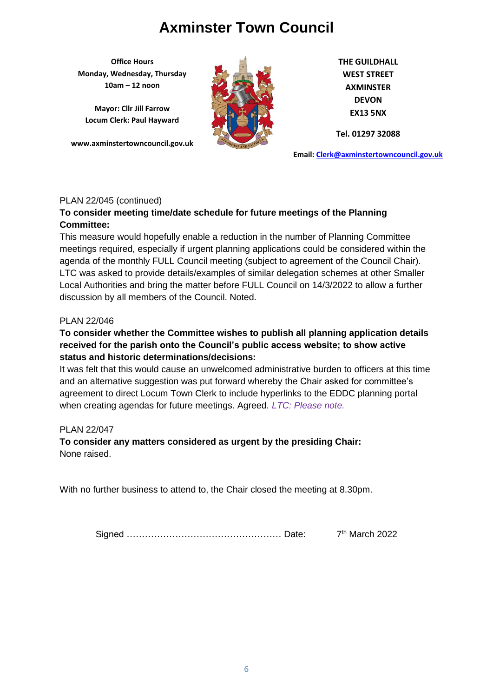**Office Hours Monday, Wednesday, Thursday 10am – 12 noon**

**Mayor: Cllr Jill Farrow Locum Clerk: Paul Hayward**

**www.axminstertowncouncil.gov.uk**



**THE GUILDHALL WEST STREET AXMINSTER DEVON EX13 5NX**

**Tel. 01297 32088**

**Email: [Clerk@axminstertowncouncil.gov.uk](file://///axm-svr-1/company/Templates/Clerk@axminstertowncouncil.gov.uk)**

## PLAN 22/045 (continued)

## **To consider meeting time/date schedule for future meetings of the Planning Committee:**

**TEL:** 0297 3208 This measure would hopefully enable a reduction in the number of Planning Committee meetings required, especially if urgent planning applications could be considered within the agenda of the monthly FULL Council meeting (subject to agreement of the Council Chair). LTC was asked to provide details/examples of similar delegation schemes at other Smaller Local Authorities and bring the matter before FULL Council on 14/3/2022 to allow a further discussion by all members of the Council. Noted.

## PLAN 22/046

## **To consider whether the Committee wishes to publish all planning application details received for the parish onto the Council's public access website; to show active status and historic determinations/decisions:**

It was felt that this would cause an unwelcomed administrative burden to officers at this time and an alternative suggestion was put forward whereby the Chair asked for committee's agreement to direct Locum Town Clerk to include hyperlinks to the EDDC planning portal when creating agendas for future meetings. Agreed. *LTC: Please note.*

## PLAN 22/047

**To consider any matters considered as urgent by the presiding Chair:** None raised.

With no further business to attend to, the Chair closed the meeting at 8.30pm.

Signed …………………………………………… Date: 7 7<sup>th</sup> March 2022